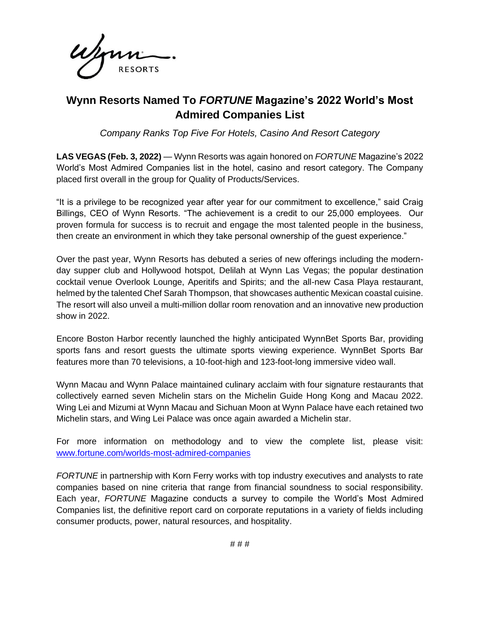## **Wynn Resorts Named To** *FORTUNE* **Magazine's 2022 World's Most Admired Companies List**

*Company Ranks Top Five For Hotels, Casino And Resort Category*

**LAS VEGAS (Feb. 3, 2022)** — Wynn Resorts was again honored on *FORTUNE* Magazine's 2022 World's Most Admired Companies list in the hotel, casino and resort category. The Company placed first overall in the group for Quality of Products/Services.

"It is a privilege to be recognized year after year for our commitment to excellence," said Craig Billings, CEO of Wynn Resorts. "The achievement is a credit to our 25,000 employees. Our proven formula for success is to recruit and engage the most talented people in the business, then create an environment in which they take personal ownership of the guest experience."

Over the past year, Wynn Resorts has debuted a series of new offerings including the modernday supper club and Hollywood hotspot, Delilah at Wynn Las Vegas; the popular destination cocktail venue Overlook Lounge, Aperitifs and Spirits; and the all-new Casa Playa restaurant, helmed by the talented Chef Sarah Thompson, that showcases authentic Mexican coastal cuisine. The resort will also unveil a multi-million dollar room renovation and an innovative new production show in 2022.

Encore Boston Harbor recently launched the highly anticipated WynnBet Sports Bar, providing sports fans and resort quests the ultimate sports viewing experience. WynnBet Sports Bar features more than 70 televisions, a 10-foot-high and 123-foot-long immersive video wall.

Wynn Macau and Wynn Palace maintained culinary acclaim with four signature restaurants that collectively earned seven Michelin stars on the Michelin Guide Hong Kong and Macau 2022. Wing Lei and Mizumi at Wynn Macau and Sichuan Moon at Wynn Palace have each retained two Michelin stars, and Wing Lei Palace was once again awarded a Michelin star.

For more information on methodology and to view the complete list, please visit: [www.fortune.com/worlds-most-admired-companies](http://www.fortune.com/worlds-most-admired-companies)

*FORTUNE* in partnership with Korn Ferry works with top industry executives and analysts to rate companies based on nine criteria that range from financial soundness to social responsibility. Each year, *FORTUNE* Magazine conducts a survey to compile the World's Most Admired Companies list, the definitive report card on corporate reputations in a variety of fields including consumer products, power, natural resources, and hospitality.